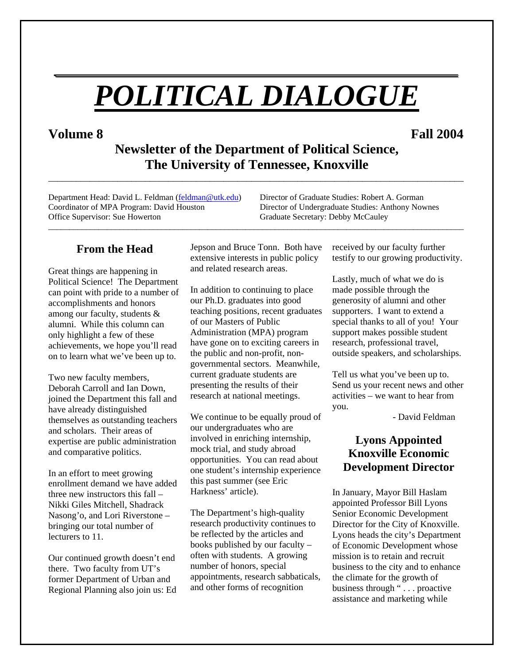# *POLITICAL DIALOGUE*

*\_\_\_\_\_\_\_\_\_\_\_\_\_\_\_\_\_\_\_\_\_\_\_\_\_\_\_\_\_\_\_\_\_\_\_\_\_\_\_\_*

**Volume 8 Fall 2004**

**Newsletter of the Department of Political Science, The University of Tennessee, Knoxville** 

\_\_\_\_\_\_\_\_\_\_\_\_\_\_\_\_\_\_\_\_\_\_\_\_\_\_\_\_\_\_\_\_\_\_\_\_\_\_\_\_\_\_\_\_\_\_\_\_\_\_\_\_\_\_\_\_\_\_\_\_\_\_\_\_\_\_\_\_\_\_\_\_\_\_\_\_\_\_\_\_\_\_\_\_\_\_\_\_\_\_

Department Head: David L. Feldman (feldman @utk.edu) Director of Graduate Studies: Robert A. Gorman Coordinator of MPA Program: David Houston Director of Undergraduate Studies: Anthony Nownes Office Supervisor: Sue Howerton Graduate Secretary: Debby McCauley

#### **From the Head**

Great things are happening in Political Science! The Department can point with pride to a number of accomplishments and honors among our faculty, students & alumni. While this column can only highlight a few of these achievements, we hope you'll read on to learn what we've been up to.

Two new faculty members, Deborah Carroll and Ian Down, joined the Department this fall and have already distinguished themselves as outstanding teachers and scholars. Their areas of expertise are public administration and comparative politics.

In an effort to meet growing enrollment demand we have added three new instructors this fall – Nikki Giles Mitchell, Shadrack Nasong'o, and Lori Riverstone – bringing our total number of lecturers to 11.

Our continued growth doesn't end there. Two faculty from UT's former Department of Urban and Regional Planning also join us: Ed Jepson and Bruce Tonn. Both have extensive interests in public policy and related research areas.

\_\_\_\_\_\_\_\_\_\_\_\_\_\_\_\_\_\_\_\_\_\_\_\_\_\_\_\_\_\_\_\_\_\_\_\_\_\_\_\_\_\_\_\_\_\_\_\_\_\_\_\_\_\_\_\_\_\_\_\_\_\_\_\_\_\_\_\_\_\_\_\_\_\_\_\_\_\_\_\_\_\_\_\_\_\_\_\_\_\_\_\_\_\_\_\_\_\_\_

In addition to continuing to place our Ph.D. graduates into good teaching positions, recent graduates of our Masters of Public Administration (MPA) program have gone on to exciting careers in the public and non-profit, nongovernmental sectors. Meanwhile, current graduate students are presenting the results of their research at national meetings.

We continue to be equally proud of our undergraduates who are involved in enriching internship, mock trial, and study abroad opportunities. You can read about one student's internship experience this past summer (see Eric Harkness' article).

The Department's high-quality research productivity continues to be reflected by the articles and books published by our faculty – often with students. A growing number of honors, special appointments, research sabbaticals, and other forms of recognition

received by our faculty further testify to our growing productivity.

Lastly, much of what we do is made possible through the generosity of alumni and other supporters. I want to extend a special thanks to all of you! Your support makes possible student research, professional travel, outside speakers, and scholarships.

Tell us what you've been up to. Send us your recent news and other activities – we want to hear from you.

- David Feldman

# **Lyons Appointed Knoxville Economic Development Director**

In January, Mayor Bill Haslam appointed Professor Bill Lyons Senior Economic Development Director for the City of Knoxville. Lyons heads the city's Department of Economic Development whose mission is to retain and recruit business to the city and to enhance the climate for the growth of business through " . . . proactive assistance and marketing while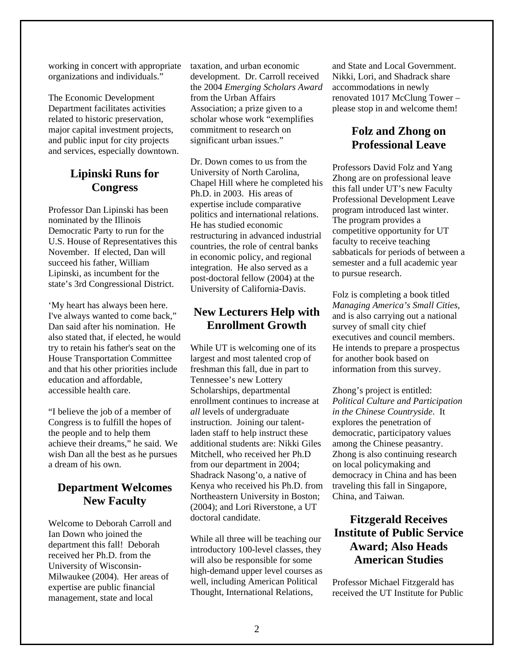working in concert with appropriate organizations and individuals."

The Economic Development Department facilitates activities related to historic preservation, major capital investment projects, and public input for city projects and services, especially downtown.

# **Lipinski Runs for Congress**

Professor Dan Lipinski has been nominated by the Illinois Democratic Party to run for the U.S. House of Representatives this November. If elected, Dan will succeed his father, William Lipinski, as incumbent for the state's 3rd Congressional District.

'My heart has always been here. I've always wanted to come back," Dan said after his nomination. He also stated that, if elected, he would try to retain his father's seat on the House Transportation Committee and that his other priorities include education and affordable, accessible health care.

"I believe the job of a member of Congress is to fulfill the hopes of the people and to help them achieve their dreams," he said. We wish Dan all the best as he pursues a dream of his own.

### **Department Welcomes New Faculty**

Welcome to Deborah Carroll and Ian Down who joined the department this fall! Deborah received her Ph.D. from the University of Wisconsin-Milwaukee (2004). Her areas of expertise are public financial management, state and local

taxation, and urban economic development. Dr. Carroll received the 2004 *Emerging Scholars Award*  from the Urban Affairs Association; a prize given to a scholar whose work "exemplifies commitment to research on significant urban issues."

Dr. Down comes to us from the University of North Carolina, Chapel Hill where he completed his Ph.D. in 2003. His areas of expertise include comparative politics and international relations. He has studied economic restructuring in advanced industrial countries, the role of central banks in economic policy, and regional integration. He also served as a post-doctoral fellow (2004) at the University of California-Davis.

#### **New Lecturers Help with Enrollment Growth**

While UT is welcoming one of its largest and most talented crop of freshman this fall, due in part to Tennessee's new Lottery Scholarships, departmental enrollment continues to increase at *all* levels of undergraduate instruction. Joining our talentladen staff to help instruct these additional students are: Nikki Giles Mitchell, who received her Ph.D from our department in 2004; Shadrack Nasong'o, a native of Kenya who received his Ph.D. from Northeastern University in Boston; (2004); and Lori Riverstone, a UT doctoral candidate.

While all three will be teaching our introductory 100-level classes, they will also be responsible for some high-demand upper level courses as well, including American Political Thought, International Relations,

and State and Local Government. Nikki, Lori, and Shadrack share accommodations in newly renovated 1017 McClung Tower – please stop in and welcome them!

# **Folz and Zhong on Professional Leave**

Professors David Folz and Yang Zhong are on professional leave this fall under UT's new Faculty Professional Development Leave program introduced last winter. The program provides a competitive opportunity for UT faculty to receive teaching sabbaticals for periods of between a semester and a full academic year to pursue research.

Folz is completing a book titled *Managing America's Small Cities,*  and is also carrying out a national survey of small city chief executives and council members. He intends to prepare a prospectus for another book based on information from this survey.

Zhong's project is entitled: *Political Culture and Participation in the Chinese Countryside*. It explores the penetration of democratic, participatory values among the Chinese peasantry. Zhong is also continuing research on local policymaking and democracy in China and has been traveling this fall in Singapore, China, and Taiwan.

# **Fitzgerald Receives Institute of Public Service Award; Also Heads American Studies**

Professor Michael Fitzgerald has received the UT Institute for Public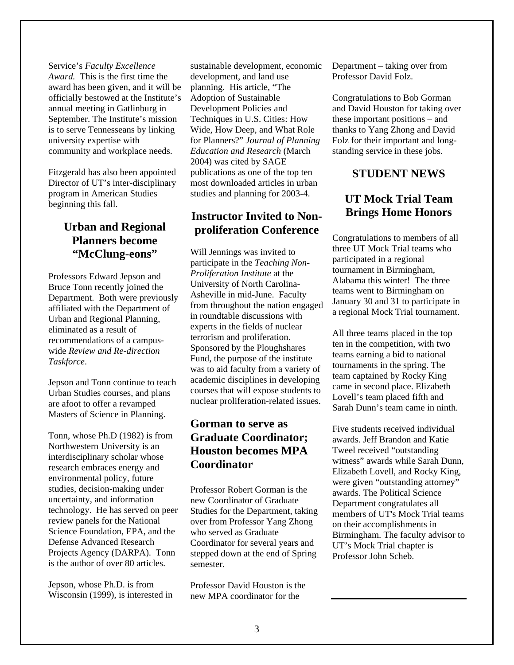Service's *Faculty Excellence Award.* This is the first time the award has been given, and it will be officially bestowed at the Institute's annual meeting in Gatlinburg in September. The Institute's mission is to serve Tennesseans by linking university expertise with community and workplace needs.

Fitzgerald has also been appointed Director of UT's inter-disciplinary program in American Studies beginning this fall.

# **Urban and Regional Planners become "McClung-eons"**

Professors Edward Jepson and Bruce Tonn recently joined the Department. Both were previously affiliated with the Department of Urban and Regional Planning, eliminated as a result of recommendations of a campuswide *Review and Re-direction Taskforce*.

Jepson and Tonn continue to teach Urban Studies courses, and plans are afoot to offer a revamped Masters of Science in Planning.

Tonn, whose Ph.D (1982) is from Northwestern University is an interdisciplinary scholar whose research embraces energy and environmental policy, future studies, decision-making under uncertainty, and information technology. He has served on peer review panels for the National Science Foundation, EPA, and the Defense Advanced Research Projects Agency (DARPA). Tonn is the author of over 80 articles.

Jepson, whose Ph.D. is from Wisconsin (1999), is interested in sustainable development, economic development, and land use planning. His article, "The Adoption of Sustainable Development Policies and Techniques in U.S. Cities: How Wide, How Deep, and What Role for Planners?" *Journal of Planning Education and Research* (March 2004) was cited by SAGE publications as one of the top ten most downloaded articles in urban studies and planning for 2003-4.

#### **Instructor Invited to Nonproliferation Conference**

Will Jennings was invited to participate in the *Teaching Non-Proliferation Institute* at the University of North Carolina-Asheville in mid-June. Faculty from throughout the nation engaged in roundtable discussions with experts in the fields of nuclear terrorism and proliferation. Sponsored by the Ploughshares Fund, the purpose of the institute was to aid faculty from a variety of academic disciplines in developing courses that will expose students to nuclear proliferation-related issues.

# **Gorman to serve as Graduate Coordinator; Houston becomes MPA Coordinator**

Professor Robert Gorman is the new Coordinator of Graduate Studies for the Department, taking over from Professor Yang Zhong who served as Graduate Coordinator for several years and stepped down at the end of Spring semester.

Professor David Houston is the new MPA coordinator for the

Department – taking over from Professor David Folz.

Congratulations to Bob Gorman and David Houston for taking over these important positions – and thanks to Yang Zhong and David Folz for their important and longstanding service in these jobs.

#### **STUDENT NEWS**

### **UT Mock Trial Team Brings Home Honors**

Congratulations to members of all three UT Mock Trial teams who participated in a regional tournament in Birmingham, Alabama this winter! The three teams went to Birmingham on January 30 and 31 to participate in a regional Mock Trial tournament.

All three teams placed in the top ten in the competition, with two teams earning a bid to national tournaments in the spring. The team captained by Rocky King came in second place. Elizabeth Lovell's team placed fifth and Sarah Dunn's team came in ninth.

Five students received individual awards. Jeff Brandon and Katie Tweel received "outstanding witness" awards while Sarah Dunn, Elizabeth Lovell, and Rocky King, were given "outstanding attorney" awards. The Political Science Department congratulates all members of UT's Mock Trial teams on their accomplishments in Birmingham. The faculty advisor to UT's Mock Trial chapter is Professor John Scheb.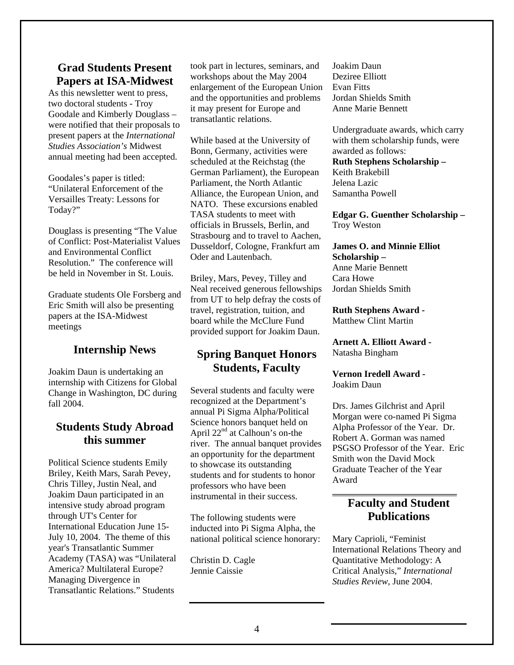#### **Grad Students Present Papers at ISA-Midwest**

As this newsletter went to press, two doctoral students - Troy Goodale and Kimberly Douglass – were notified that their proposals to present papers at the *International Studies Association's* Midwest annual meeting had been accepted.

Goodales's paper is titled: "Unilateral Enforcement of the Versailles Treaty: Lessons for Today?"

Douglass is presenting "The Value of Conflict: Post-Materialist Values and Environmental Conflict Resolution." The conference will be held in November in St. Louis.

Graduate students Ole Forsberg and Eric Smith will also be presenting papers at the ISA-Midwest meetings

#### **Internship News**

Joakim Daun is undertaking an internship with Citizens for Global Change in Washington, DC during fall 2004.

#### **Students Study Abroad this summer**

Political Science students Emily Briley, Keith Mars, Sarah Pevey, Chris Tilley, Justin Neal, and Joakim Daun participated in an intensive study abroad program through UT's Center for International Education June 15- July 10, 2004. The theme of this year's Transatlantic Summer Academy (TASA) was "Unilateral America? Multilateral Europe? Managing Divergence in Transatlantic Relations." Students

took part in lectures, seminars, and workshops about the May 2004 enlargement of the European Union and the opportunities and problems it may present for Europe and transatlantic relations.

While based at the University of Bonn, Germany, activities were scheduled at the Reichstag (the German Parliament), the European Parliament, the North Atlantic Alliance, the European Union, and NATO. These excursions enabled TASA students to meet with officials in Brussels, Berlin, and Strasbourg and to travel to Aachen, Dusseldorf, Cologne, Frankfurt am Oder and Lautenbach.

Briley, Mars, Pevey, Tilley and Neal received generous fellowships from UT to help defray the costs of travel, registration, tuition, and board while the McClure Fund provided support for Joakim Daun.

#### **Spring Banquet Honors Students, Faculty**

Several students and faculty were recognized at the Department's annual Pi Sigma Alpha/Political Science honors banquet held on April 22<sup>nd</sup> at Calhoun's on-the river. The annual banquet provides an opportunity for the department to showcase its outstanding students and for students to honor professors who have been instrumental in their success.

The following students were inducted into Pi Sigma Alpha, the national political science honorary:

Christin D. Cagle Jennie Caissie

Joakim Daun Deziree Elliott Evan Fitts Jordan Shields Smith Anne Marie Bennett

Undergraduate awards, which carry with them scholarship funds, were awarded as follows:

**Ruth Stephens Scholarship –** 

Keith Brakebill Jelena Lazic Samantha Powell

**Edgar G. Guenther Scholarship –**  Troy Weston

#### **James O. and Minnie Elliot Scholarship –**  Anne Marie Bennett

Cara Howe Jordan Shields Smith

**Ruth Stephens Award -**  Matthew Clint Martin

**Arnett A. Elliott Award -**  Natasha Bingham

**Vernon Iredell Award -**  Joakim Daun

Drs. James Gilchrist and April Morgan were co-named Pi Sigma Alpha Professor of the Year. Dr. Robert A. Gorman was named PSGSO Professor of the Year. Eric Smith won the David Mock Graduate Teacher of the Year Award

#### **Faculty and Student Publications**

\_\_\_\_\_\_\_\_\_\_\_\_\_\_\_\_\_\_\_\_\_\_\_\_\_\_\_

Mary Caprioli, "Feminist International Relations Theory and Quantitative Methodology: A Critical Analysis," *International Studies Review*, June 2004.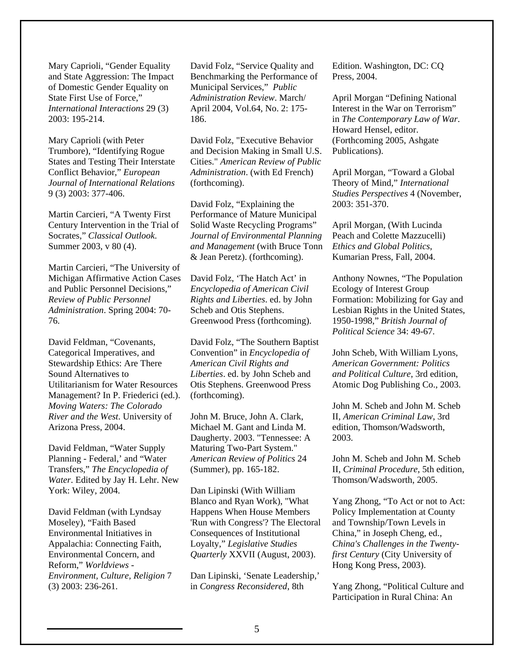Mary Caprioli, "Gender Equality and State Aggression: The Impact of Domestic Gender Equality on State First Use of Force," *International Interactions* 29 (3) 2003: 195-214.

States and Testing Their Interstate Conflict Behavior," European *s Journal of International Relation* Mary Caprioli (with Peter Trumbore), "Identifying Rogue 9 (3) 2003: 377-406.

Socrates," Classical Outlook. Martin Carcieri, "A Twenty First Century Intervention in the Trial of Summer 2003, v 80 (4).

Michigan Affirmative Action Cases and Public Personnel Decisions," Martin Carcieri, "The University of *Review of Public Personnel Administration*. Spring 2004: 70- 76.

Stewardship Ethics: Are There Utilitarianism for Water Resources Management? In P. Friederici (ed.). David Feldman, "Covenants, Categorical Imperatives, and Sound Alternatives to *Moving Waters: The Colorado River and the West*. University of Arizona Press, 2004.

**Transfers,"** *The Encyclopedia of* w *Water*. Edited by Jay H. Lehr. Ne David Feldman, "Water Supply Planning - Federal,' and "Water York: Wiley, 2004.

Environmental Initiatives in David Feldman (with Lyndsay Moseley), "Faith Based Appalachia: Connecting Faith, Environmental Concern, and Reform," *Worldviews - Environment, Culture, Religion* 7 (3) 2003: 236-261.

David Folz, "Service Qu ality and Benchmarking the Performance of Municipal Services," *Public dministration Review*. March/ *A* April 2004, Vol.64, No. 2: 175- 186.

Cities." American Review of Public ) *Administration*. (with Ed French David Folz, "Executive Behavior and Decision Making in Small U.S. (forthcoming).

and Management (with Bruce Tonn & Jean Peretz). (forthcoming). David Folz, "Explaining the Performance of Mature Municipal Solid Waste Recycling Programs" *Journal of Environmental Planning*

David Folz, 'The Hatch Act' in *Encyclopedia of American Civil Rights and Liberties*. ed. by John Scheb and Otis Stephens. Greenwood Press (forthcoming).

David Folz, "The Southern Baptist Convention" in *Encyclopedia of American Civil Rights and Liberties*. ed. by John Scheb and Otis Stephens. Greenwood Press (forthcoming).

(Summer), pp. 165-182. John M. Bruce, John A. Clark, Michael M. Gant and Linda M. Daugherty. 2003. "Tennessee: A Maturing Two-Part System." *American Review of Politics* 24

'Run with Congress'? The Electoral Loyalty," Legislative Studies Quarterly XXVII (August, 2003). Dan Lipinski (With William Blanco and Ryan Work), "What Happens When House Members Consequences of Institutional

Dan Lipinski, 'Senate Leadership,' in *Congress Reconsidered*, 8th

Edition. Washington, DC: CQ Press, 2004.

April Morgan "Defining National in *The Contemporary Law of War.* 2005, Ashgate (Forthcoming Publications). Interest in the War on Terrorism" Howard Hensel, editor.

Studies Perspectives 4 (November, April Morgan, "Toward a Global Theory of Mind," *International*  2003: 351-370.

April Morgan, (With Lucinda Peach and Colette Mazzucelli) *Ethics and Global Politics*, Kumarian Press, Fall, 2004.

Anthony Nownes, "The Population Lesbian Rights in the United States, *f* 1950-1998," *British Journal o olitical Science* 34: 49-67. *P* Ecology of Interest Group Formation: Mobilizing for Gay and

John Scheb, With William Lyons, Atomic Dog Publishing Co., 2003. *American Government: Politics and Political Culture*, 3rd edition,

John M. Scheb and John M. Scheb II, *American Criminal Law*, 3rd edition, Thomson/Wadsworth, 2003.

John M. Scheb and John M. Scheb II, *Criminal Procedure*, 5th edition, Thomson/Wadsworth, 2005.

Yang Zhong, "To Act or not to Act: Policy Implementation at County *China's Challenges in the Twenty*first Century (City University of and Township/Town Levels in China," in Joseph Cheng, ed., Hong Kong Press, 2003).

Yang Zhong, "Political Culture and Participation in Rural China: An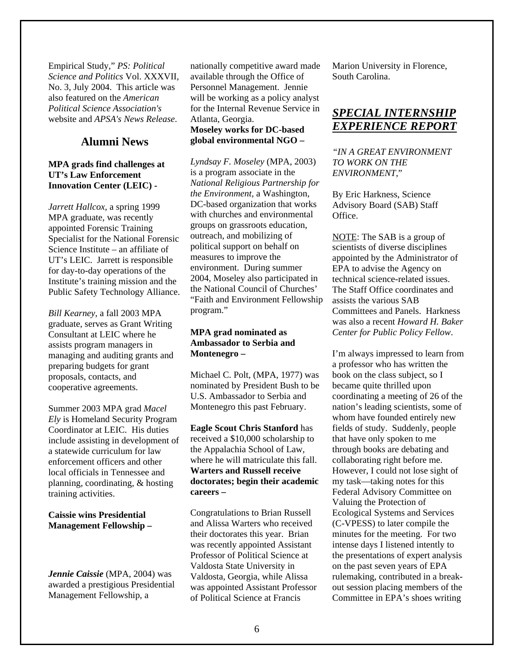Empirical Study," *PS: Political Science and Politics* Vol. XXXVI I, No. 3, July 2004. This arti cle was also featured on the *American* . website and *APSA's News Release Political Science Association's*

#### **Alumni News**

#### **MPA grads find challenges at UT's Law Enforcement Innovation Center (LEIC) -**

*Jarrett Hallcox, a spring 1999* MPA graduate, was recently Specialist for the National Forensic Science Institute – an affiliate of UT's LEIC. Jarrett is responsible Institute's training mission and the Public Safety Technology Alliance. appointed Forensic Training for day-to-day operations of the

preparing budgets for grant *Bill Kearney,* a fall 2003 MPA graduate, serves as Grant Writing Consultant at LEIC where he assists program managers in managing and auditing grants and proposals, contacts, and cooperative agreements.

Summer 2003 MPA grad Macel Coordinator at LEIC. His duties include assisting in development of a statewide curriculum for law enforcement officers and other *Ely* is Homeland Security Program local officials in Tennessee and planning, coordinating, & hosting training activities.

#### **Caissie wins Presidential Management Fellowship –**

<span id="page-5-0"></span>awarded a prestigious Presidential *Jennie Caissie* (MPA, 2004) was Management Fellowship, a

ationally competitive award made n will be working as a policy analyst available through the Office of Personnel Management. Jennie for the Internal Revenue Service in Atlanta, Georgia.

#### **Moseley works for DC-based global environmental NGO –**

Lyndsay F. Moseley (MPA, 2003) *National Religious Partnership for e Environment,* a Washington, *th* with churches and environmental 2004, Moseley also participated in the National Council of Churches' "Faith and Environment Fellowship is a program associate in the DC-based organization that works groups on grassroots education, outreach, and mobilizing of political support on behalf on measures to improve the environment. During summer program."

#### **o – Montenegr MPA grad nominated as Ambassador to Serbia and**

Michael C. Polt, (MPA, 1977) was nominated by President Bush to be U.S. Ambassador to Serbia and Montenegro this past February.

where he will matriculate this fall. **Eagle Scout Chris Stanford** has received a \$10,000 scholarship to the Appalachia School of Law, **Warters and Russell receive doctorates; begin their academic careers –** 

Congratulations to Brian Russell their doctorates this year. Brian was recently appointed Assistant Valdosta, Georgia, while Alissa was appointed Assistant Professor of Political Science at Francis and Alissa Warters who received Professor of Political Science at Valdosta State University in

Marion University in Florence, South Carolina.

# *SPECIAL INTERNSHIP EXPERIENCE REPORT*

*"IN A GREAT ENVIRONMENT TO WORK ON THE ENVIRONMENT*,"

By Eric Harkness, Science Advisory Board (SAB) Staff Office.

NOTE: The SAB is a group of scientists of diverse disciplines appointed by the Administrator o f EPA to advise the Ag ency on echnical science-rel ated issues. t The Staff Office coordinates and Committees and Panels. Harkness was also a recent Howard H. Baker . *Center for Public Policy Fellow* assists the various SAB

coordinating a meeting of 26 of the However, I could not lose sight of the presentations of expert analysis out session placing members of the Committee in EPA's shoes writing I'm always impressed to learn from a professor who has written the book on the class subject, so I became quite thrilled upon nation's leading scientists, some of whom have founded entirely new fields of study. Suddenly, people that have only spoken to me through books are debating and collaborating right before me. my task—taking notes for this Federal Advisory Committee on Valuing the Protection of Ecological Systems and Services (C-VPESS) to later compile the minutes for the meeting. For two intense days I listened intently to on the past seven years of EPA rulemaking, contributed in a break-